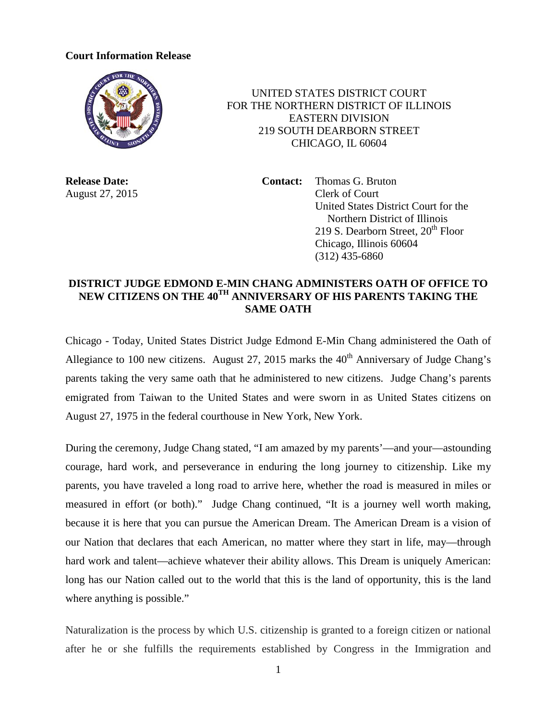## **Court Information Release**



 UNITED STATES DISTRICT COURT FOR THE NORTHERN DISTRICT OF ILLINOIS EASTERN DIVISION 219 SOUTH DEARBORN STREET CHICAGO, IL 60604

**Release Date: Contact:** Thomas G. Bruton August 27, 2015 Clerk of Court United States District Court for the Northern District of Illinois 219 S. Dearborn Street,  $20<sup>th</sup>$  Floor Chicago, Illinois 60604 (312) 435-6860

## **DISTRICT JUDGE EDMOND E-MIN CHANG ADMINISTERS OATH OF OFFICE TO NEW CITIZENS ON THE 40TH ANNIVERSARY OF HIS PARENTS TAKING THE SAME OATH**

Chicago - Today, United States District Judge Edmond E-Min Chang administered the Oath of Allegiance to 100 new citizens. August 27, 2015 marks the  $40<sup>th</sup>$  Anniversary of Judge Chang's parents taking the very same oath that he administered to new citizens. Judge Chang's parents emigrated from Taiwan to the United States and were sworn in as United States citizens on August 27, 1975 in the federal courthouse in New York, New York.

During the ceremony, Judge Chang stated, "I am amazed by my parents'—and your—astounding courage, hard work, and perseverance in enduring the long journey to citizenship. Like my parents, you have traveled a long road to arrive here, whether the road is measured in miles or measured in effort (or both)." Judge Chang continued, "It is a journey well worth making, because it is here that you can pursue the American Dream. The American Dream is a vision of our Nation that declares that each American, no matter where they start in life, may—through hard work and talent—achieve whatever their ability allows. This Dream is uniquely American: long has our Nation called out to the world that this is the land of opportunity, this is the land where anything is possible."

Naturalization is the process by which U.S. citizenship is granted to a foreign citizen or national after he or she fulfills the requirements established by Congress in the Immigration and